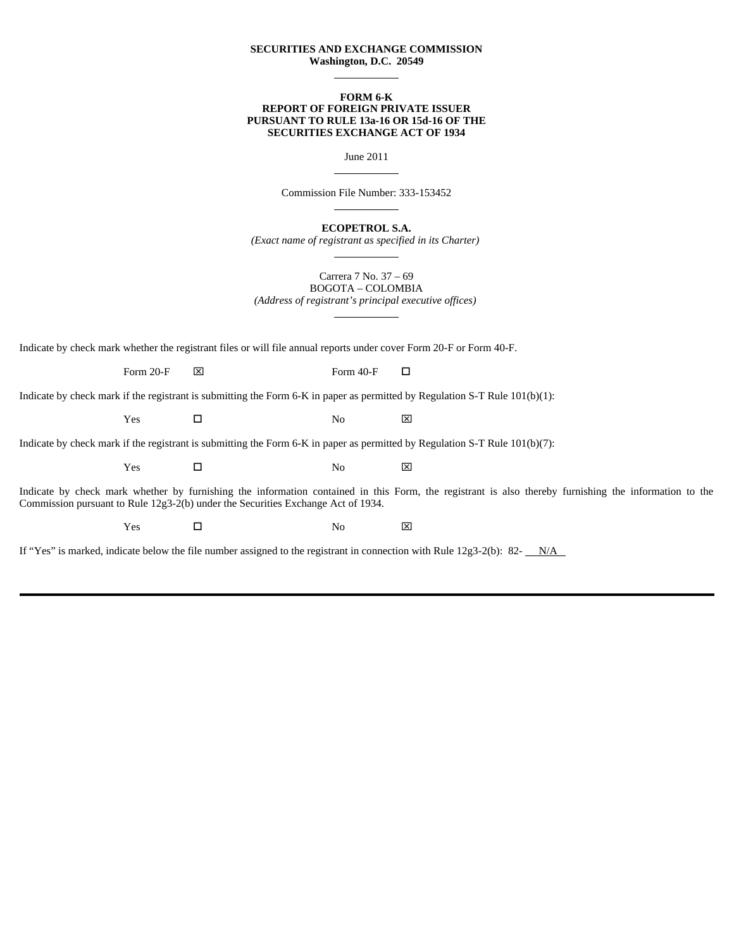## **SECURITIES AND EXCHANGE COMMISSION Washington, D.C. 20549**

 $\overline{a}$ 

## **FORM 6-K REPORT OF FOREIGN PRIVATE ISSUER PURSUANT TO RULE 13a-16 OR 15d-16 OF THE SECURITIES EXCHANGE ACT OF 1934**

June 2011

Commission File Number: 333-153452

 $\overline{a}$ 

 $\overline{a}$ 

 $\overline{a}$ 

 $\overline{a}$ 

**ECOPETROL S.A.**

*(Exact name of registrant as specified in its Charter)*

Carrera 7 No. 37 – 69 BOGOTA – COLOMBIA *(Address of registrant's principal executive offices)*

Indicate by check mark whether the registrant files or will file annual reports under cover Form 20-F or Form 40-F.

Form 20-F  $\boxtimes$  Form 40-F  $\Box$ 

Indicate by check mark if the registrant is submitting the Form 6-K in paper as permitted by Regulation S-T Rule 101(b)(1):

 $Yes$   $\Box$  No  $\boxtimes$ 

Indicate by check mark if the registrant is submitting the Form 6-K in paper as permitted by Regulation S-T Rule 101(b)(7):

 $Yes$   $\Box$  No  $\boxtimes$ 

Indicate by check mark whether by furnishing the information contained in this Form, the registrant is also thereby furnishing the information to the Commission pursuant to Rule 12g3-2(b) under the Securities Exchange Act of 1934.

 $Yes$   $\Box$  No  $\boxtimes$ 

If "Yes" is marked, indicate below the file number assigned to the registrant in connection with Rule 12g3-2(b): 82- $N/A$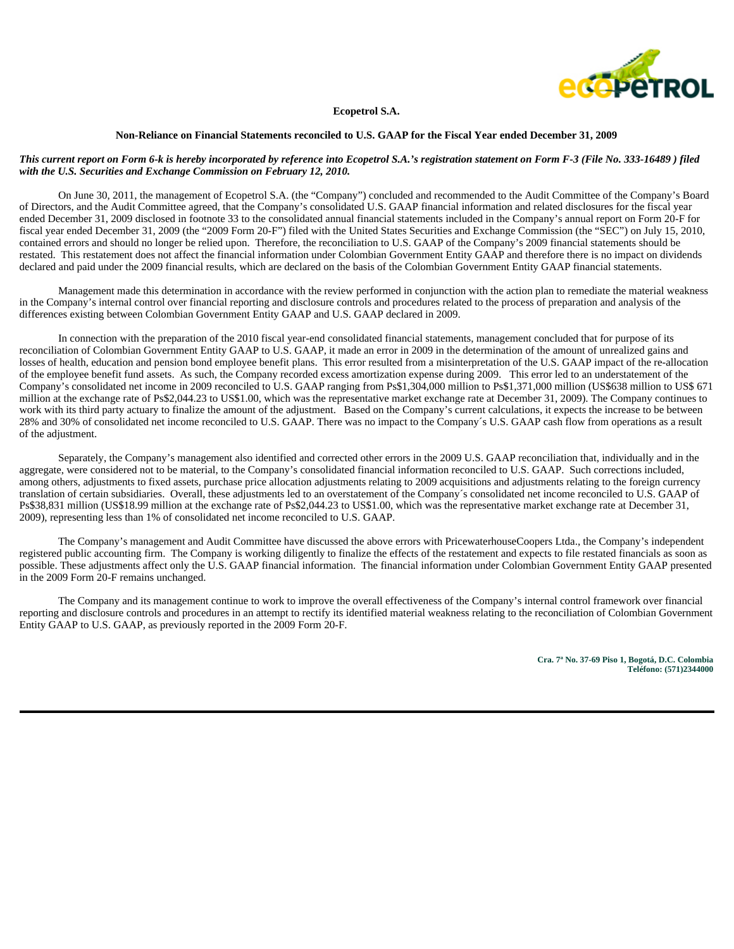

**Ecopetrol S.A.**

#### **Non-Reliance on Financial Statements reconciled to U.S. GAAP for the Fiscal Year ended December 31, 2009**

# *This current report on Form 6-k is hereby incorporated by reference into Ecopetrol S.A.'s registration statement on Form F-3 (File No. 333-16489 ) filed with the U.S. Securities and Exchange Commission on February 12, 2010.*

On June 30, 2011, the management of Ecopetrol S.A. (the "Company") concluded and recommended to the Audit Committee of the Company's Board of Directors, and the Audit Committee agreed, that the Company's consolidated U.S. GAAP financial information and related disclosures for the fiscal year ended December 31, 2009 disclosed in footnote 33 to the consolidated annual financial statements included in the Company's annual report on Form 20-F for fiscal year ended December 31, 2009 (the "2009 Form 20-F") filed with the United States Securities and Exchange Commission (the "SEC") on July 15, 2010, contained errors and should no longer be relied upon. Therefore, the reconciliation to U.S. GAAP of the Company's 2009 financial statements should be restated. This restatement does not affect the financial information under Colombian Government Entity GAAP and therefore there is no impact on dividends declared and paid under the 2009 financial results, which are declared on the basis of the Colombian Government Entity GAAP financial statements.

Management made this determination in accordance with the review performed in conjunction with the action plan to remediate the material weakness in the Company's internal control over financial reporting and disclosure controls and procedures related to the process of preparation and analysis of the differences existing between Colombian Government Entity GAAP and U.S. GAAP declared in 2009.

In connection with the preparation of the 2010 fiscal year-end consolidated financial statements, management concluded that for purpose of its reconciliation of Colombian Government Entity GAAP to U.S. GAAP, it made an error in 2009 in the determination of the amount of unrealized gains and losses of health, education and pension bond employee benefit plans. This error resulted from a misinterpretation of the U.S. GAAP impact of the re-allocation of the employee benefit fund assets. As such, the Company recorded excess amortization expense during 2009. This error led to an understatement of the Company's consolidated net income in 2009 reconciled to U.S. GAAP ranging from Ps\$1,304,000 million to Ps\$1,371,000 million (US\$638 million to US\$ 671 million at the exchange rate of Ps\$2,044.23 to US\$1.00, which was the representative market exchange rate at December 31, 2009). The Company continues to work with its third party actuary to finalize the amount of the adjustment. Based on the Company's current calculations, it expects the increase to be between 28% and 30% of consolidated net income reconciled to U.S. GAAP. There was no impact to the Company´s U.S. GAAP cash flow from operations as a result of the adjustment.

Separately, the Company's management also identified and corrected other errors in the 2009 U.S. GAAP reconciliation that, individually and in the aggregate, were considered not to be material, to the Company's consolidated financial information reconciled to U.S. GAAP. Such corrections included, among others, adjustments to fixed assets, purchase price allocation adjustments relating to 2009 acquisitions and adjustments relating to the foreign currency translation of certain subsidiaries. Overall, these adjustments led to an overstatement of the Company´s consolidated net income reconciled to U.S. GAAP of Ps\$38,831 million (US\$18.99 million at the exchange rate of Ps\$2,044.23 to US\$1.00, which was the representative market exchange rate at December 31, 2009), representing less than 1% of consolidated net income reconciled to U.S. GAAP.

The Company's management and Audit Committee have discussed the above errors with PricewaterhouseCoopers Ltda., the Company's independent registered public accounting firm. The Company is working diligently to finalize the effects of the restatement and expects to file restated financials as soon as possible. These adjustments affect only the U.S. GAAP financial information. The financial information under Colombian Government Entity GAAP presented in the 2009 Form 20-F remains unchanged.

The Company and its management continue to work to improve the overall effectiveness of the Company's internal control framework over financial reporting and disclosure controls and procedures in an attempt to rectify its identified material weakness relating to the reconciliation of Colombian Government Entity GAAP to U.S. GAAP, as previously reported in the 2009 Form 20-F.

> **Cra. 7ª No. 37-69 Piso 1, Bogotá, D.C. Colombia Teléfono: (571)2344000**